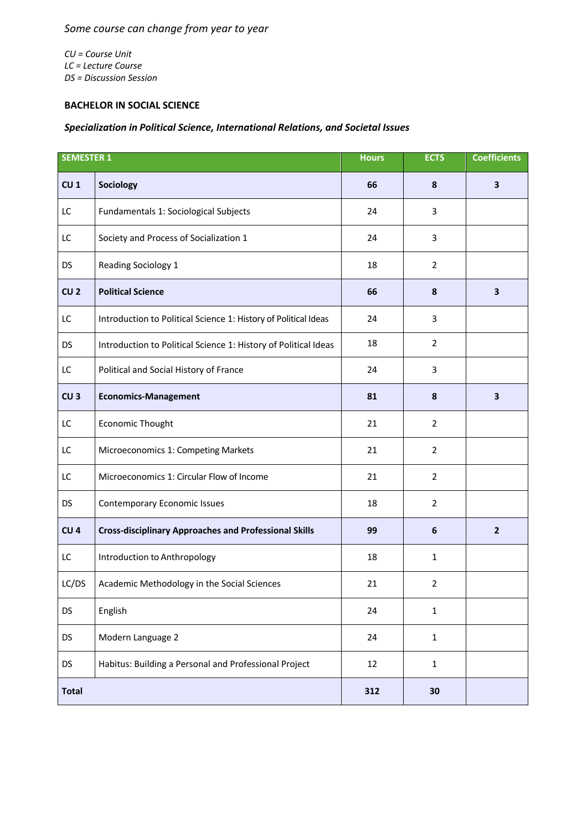*CU = Course Unit LC = Lecture Course DS = Discussion Session*

## **BACHELOR IN SOCIAL SCIENCE**

## *Specialization in Political Science, International Relations, and Societal Issues*

| <b>SEMESTER 1</b> |                                                                 | <b>Hours</b> | <b>ECTS</b>      | <b>Coefficients</b> |
|-------------------|-----------------------------------------------------------------|--------------|------------------|---------------------|
| CU <sub>1</sub>   | Sociology                                                       | 66           | 8                | 3                   |
| LC                | Fundamentals 1: Sociological Subjects                           | 24           | 3                |                     |
| LC                | Society and Process of Socialization 1                          | 24           | 3                |                     |
| <b>DS</b>         | Reading Sociology 1                                             | 18           | $\overline{2}$   |                     |
| CU <sub>2</sub>   | <b>Political Science</b>                                        | 66           | 8                | 3                   |
| LC                | Introduction to Political Science 1: History of Political Ideas | 24           | 3                |                     |
| <b>DS</b>         | Introduction to Political Science 1: History of Political Ideas | 18           | $\overline{2}$   |                     |
| LC                | Political and Social History of France                          | 24           | 3                |                     |
| CU <sub>3</sub>   | <b>Economics-Management</b>                                     | 81           | 8                | 3                   |
| LC                | Economic Thought                                                | 21           | $\overline{2}$   |                     |
| LC                | Microeconomics 1: Competing Markets                             | 21           | $\overline{2}$   |                     |
| LC                | Microeconomics 1: Circular Flow of Income                       | 21           | $\overline{2}$   |                     |
| <b>DS</b>         | <b>Contemporary Economic Issues</b>                             | 18           | $\overline{2}$   |                     |
| CU <sub>4</sub>   | <b>Cross-disciplinary Approaches and Professional Skills</b>    | 99           | $\boldsymbol{6}$ | $\overline{2}$      |
| LC                | Introduction to Anthropology                                    | 18           | $\mathbf{1}$     |                     |
| LC/DS             | Academic Methodology in the Social Sciences                     | 21           | $\overline{2}$   |                     |
| <b>DS</b>         | English                                                         | 24           | $\mathbf{1}$     |                     |
| DS                | Modern Language 2                                               | 24           | $\mathbf{1}$     |                     |
| <b>DS</b>         | Habitus: Building a Personal and Professional Project           | 12           | $\mathbf 1$      |                     |
| <b>Total</b>      |                                                                 | 312          | 30               |                     |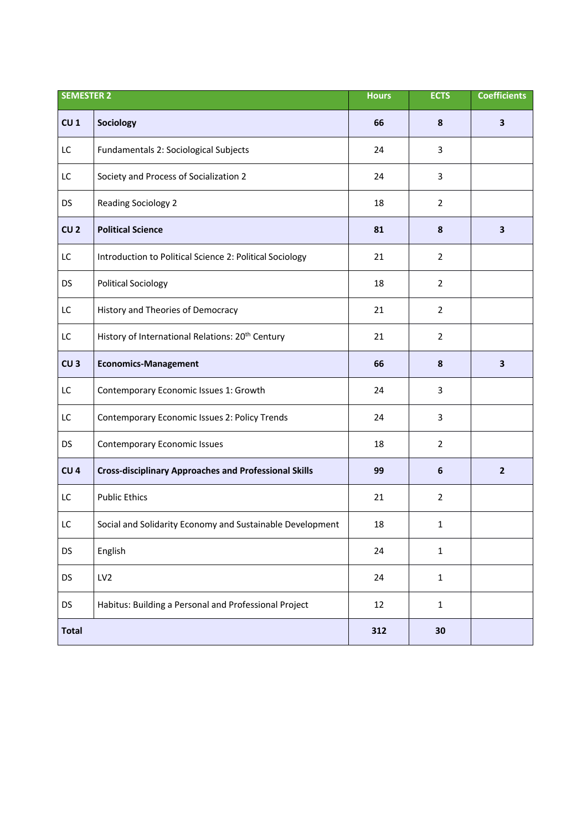| <b>SEMESTER 2</b> |                                                              | <b>Hours</b> | <b>ECTS</b>    | <b>Coefficients</b>     |
|-------------------|--------------------------------------------------------------|--------------|----------------|-------------------------|
| CU <sub>1</sub>   | Sociology                                                    | 66           | 8              | $\overline{\mathbf{3}}$ |
| LC                | Fundamentals 2: Sociological Subjects                        | 24           | 3              |                         |
| LC                | Society and Process of Socialization 2                       | 24           | 3              |                         |
| <b>DS</b>         | <b>Reading Sociology 2</b>                                   | 18           | $\overline{2}$ |                         |
| CU <sub>2</sub>   | <b>Political Science</b>                                     | 81           | 8              | $\overline{\mathbf{3}}$ |
| LC                | Introduction to Political Science 2: Political Sociology     | 21           | $\overline{2}$ |                         |
| <b>DS</b>         | <b>Political Sociology</b>                                   | 18           | $\overline{2}$ |                         |
| LC                | History and Theories of Democracy                            | 21           | $\overline{2}$ |                         |
| LC                | History of International Relations: 20 <sup>th</sup> Century | 21           | $\overline{2}$ |                         |
| CU <sub>3</sub>   | <b>Economics-Management</b>                                  | 66           | 8              | $\overline{\mathbf{3}}$ |
| LC                | Contemporary Economic Issues 1: Growth                       | 24           | 3              |                         |
| LC                | Contemporary Economic Issues 2: Policy Trends                | 24           | 3              |                         |
| <b>DS</b>         | <b>Contemporary Economic Issues</b>                          | 18           | $\overline{2}$ |                         |
| CU <sub>4</sub>   | <b>Cross-disciplinary Approaches and Professional Skills</b> | 99           | 6              | $\overline{2}$          |
| LC                | <b>Public Ethics</b>                                         | 21           | $\overline{2}$ |                         |
| LC                | Social and Solidarity Economy and Sustainable Development    | 18           | 1              |                         |
| <b>DS</b>         | English                                                      | 24           | $\mathbf{1}$   |                         |
| <b>DS</b>         | LV <sub>2</sub>                                              | 24           | $\mathbf{1}$   |                         |
| <b>DS</b>         | Habitus: Building a Personal and Professional Project        | 12           | $\mathbf{1}$   |                         |
| <b>Total</b>      |                                                              | 312          | 30             |                         |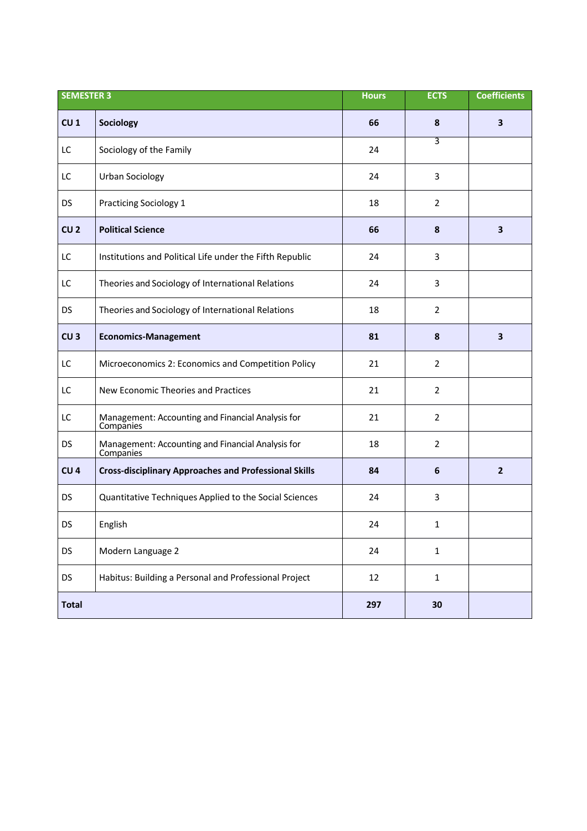| <b>SEMESTER 3</b> |                                                                | <b>Hours</b> | <b>ECTS</b>    | <b>Coefficients</b>     |
|-------------------|----------------------------------------------------------------|--------------|----------------|-------------------------|
| CU <sub>1</sub>   | Sociology                                                      | 66           | 8              | $\overline{\mathbf{3}}$ |
| LC                | Sociology of the Family                                        | 24           | 3              |                         |
| LC                | <b>Urban Sociology</b>                                         | 24           | 3              |                         |
| DS                | <b>Practicing Sociology 1</b>                                  | 18           | 2              |                         |
| CU <sub>2</sub>   | <b>Political Science</b>                                       | 66           | 8              | 3                       |
| LC                | Institutions and Political Life under the Fifth Republic       | 24           | 3              |                         |
| LC                | Theories and Sociology of International Relations              | 24           | 3              |                         |
| <b>DS</b>         | Theories and Sociology of International Relations              | 18           | $\overline{2}$ |                         |
| CU <sub>3</sub>   | <b>Economics-Management</b>                                    | 81           | 8              | $\overline{\mathbf{3}}$ |
| LC                | Microeconomics 2: Economics and Competition Policy             | 21           | 2              |                         |
| LC                | New Economic Theories and Practices                            | 21           | $\overline{2}$ |                         |
| LC                | Management: Accounting and Financial Analysis for<br>Companies | 21           | $\overline{2}$ |                         |
| <b>DS</b>         | Management: Accounting and Financial Analysis for<br>Companies | 18           | $\overline{2}$ |                         |
| CU <sub>4</sub>   | <b>Cross-disciplinary Approaches and Professional Skills</b>   | 84           | 6              | $\overline{2}$          |
| <b>DS</b>         | Quantitative Techniques Applied to the Social Sciences         | 24           | 3              |                         |
| DS                | English                                                        | 24           | $\mathbf{1}$   |                         |
| <b>DS</b>         | Modern Language 2                                              | 24           | $\mathbf{1}$   |                         |
| <b>DS</b>         | Habitus: Building a Personal and Professional Project          | 12           | $\mathbf{1}$   |                         |
| <b>Total</b>      |                                                                | 297          | 30             |                         |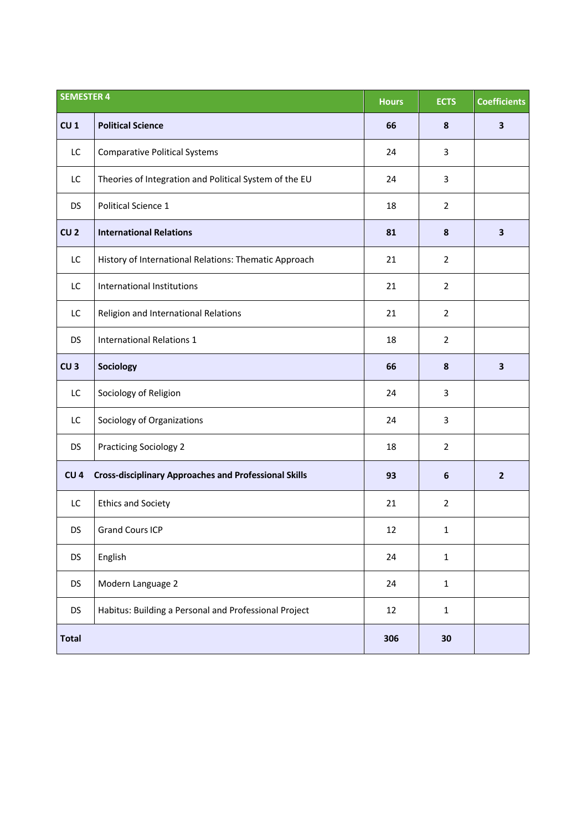| <b>SEMESTER 4</b> |                                                              | <b>Hours</b> | <b>ECTS</b>      | <b>Coefficients</b>     |
|-------------------|--------------------------------------------------------------|--------------|------------------|-------------------------|
| CU <sub>1</sub>   | <b>Political Science</b>                                     | 66           | 8                | 3                       |
| LC                | <b>Comparative Political Systems</b>                         | 24           | 3                |                         |
| LC                | Theories of Integration and Political System of the EU       | 24           | 3                |                         |
| <b>DS</b>         | Political Science 1                                          | 18           | $\overline{2}$   |                         |
| CU <sub>2</sub>   | <b>International Relations</b>                               | 81           | 8                | $\overline{\mathbf{3}}$ |
| LC                | History of International Relations: Thematic Approach        | 21           | $\overline{2}$   |                         |
| LC                | International Institutions                                   | 21           | $\overline{2}$   |                         |
| LC                | Religion and International Relations                         | 21           | $\overline{2}$   |                         |
| <b>DS</b>         | <b>International Relations 1</b>                             | 18           | $\overline{2}$   |                         |
| CU <sub>3</sub>   | Sociology                                                    | 66           | 8                | $\overline{\mathbf{3}}$ |
| LC                | Sociology of Religion                                        | 24           | 3                |                         |
| LC                | Sociology of Organizations                                   | 24           | 3                |                         |
| <b>DS</b>         | <b>Practicing Sociology 2</b>                                | 18           | $\overline{2}$   |                         |
| CU <sub>4</sub>   | <b>Cross-disciplinary Approaches and Professional Skills</b> | 93           | $\boldsymbol{6}$ | $\overline{2}$          |
| LC                | <b>Ethics and Society</b>                                    | 21           | $\overline{2}$   |                         |
| DS                | <b>Grand Cours ICP</b>                                       | 12           | 1                |                         |
| <b>DS</b>         | English                                                      | 24           | $\mathbf{1}$     |                         |
| <b>DS</b>         | Modern Language 2                                            | 24           | $\mathbf{1}$     |                         |
| <b>DS</b>         | Habitus: Building a Personal and Professional Project        | 12           | $\mathbf{1}$     |                         |
| <b>Total</b>      |                                                              | 306          | 30               |                         |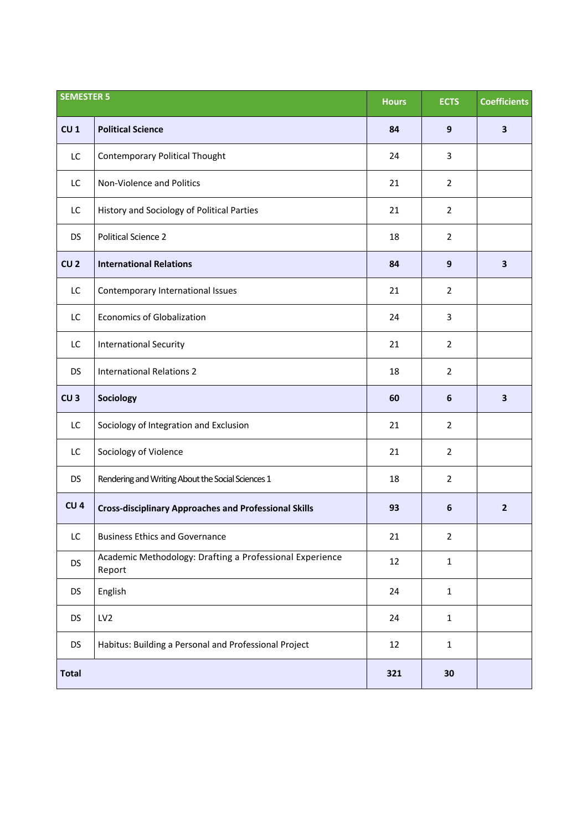| <b>SEMESTER 5</b> |                                                                    | <b>Hours</b> | <b>ECTS</b>      | <b>Coefficients</b>     |
|-------------------|--------------------------------------------------------------------|--------------|------------------|-------------------------|
| CU <sub>1</sub>   | <b>Political Science</b>                                           | 84           | 9                | $\overline{\mathbf{3}}$ |
| LC                | <b>Contemporary Political Thought</b>                              | 24           | 3                |                         |
| LC                | Non-Violence and Politics                                          | 21           | $\overline{2}$   |                         |
| LC                | History and Sociology of Political Parties                         | 21           | $\overline{2}$   |                         |
| <b>DS</b>         | <b>Political Science 2</b>                                         | 18           | $\overline{2}$   |                         |
| CU <sub>2</sub>   | <b>International Relations</b>                                     | 84           | 9                | $\mathbf{3}$            |
| LC                | Contemporary International Issues                                  | 21           | $\overline{2}$   |                         |
| LC                | <b>Economics of Globalization</b>                                  | 24           | 3                |                         |
| LC                | <b>International Security</b>                                      | 21           | $\overline{2}$   |                         |
| <b>DS</b>         | <b>International Relations 2</b>                                   | 18           | $\overline{2}$   |                         |
| CU <sub>3</sub>   | Sociology                                                          | 60           | 6                | $\mathbf{3}$            |
| LC                | Sociology of Integration and Exclusion                             | 21           | $\overline{2}$   |                         |
| LC                | Sociology of Violence                                              | 21           | $\overline{2}$   |                         |
| <b>DS</b>         | Rendering and Writing About the Social Sciences 1                  | 18           | $\overline{2}$   |                         |
| CU <sub>4</sub>   | <b>Cross-disciplinary Approaches and Professional Skills</b>       | 93           | $\boldsymbol{6}$ | $\overline{2}$          |
| LC                | <b>Business Ethics and Governance</b>                              | 21           | $\overline{2}$   |                         |
| <b>DS</b>         | Academic Methodology: Drafting a Professional Experience<br>Report | 12           | $\mathbf 1$      |                         |
| <b>DS</b>         | English                                                            | 24           | $\mathbf{1}$     |                         |
| <b>DS</b>         | LV <sub>2</sub>                                                    | 24           | $\mathbf{1}$     |                         |
| <b>DS</b>         | Habitus: Building a Personal and Professional Project              | 12           | $\mathbf{1}$     |                         |
| <b>Total</b>      |                                                                    | 321          | 30               |                         |